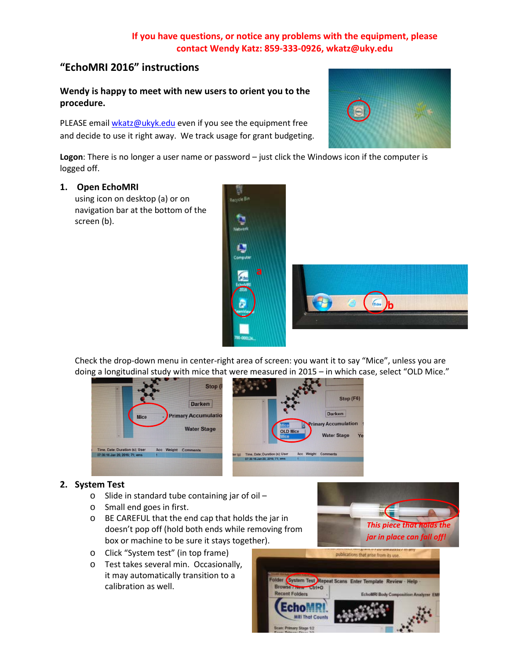# **If you have questions, or notice any problems with the equipment, please contact Wendy Katz: 859-333-0926, wkatz@uky.edu**

# **"EchoMRI 2016" instructions**

**Wendy is happy to meet with new users to orient you to the procedure.**

PLEASE email [wkatz@ukyk.edu](mailto:wkatz@ukyk.edu) even if you see the equipment free and decide to use it right away. We track usage for grant budgeting.

**Logon**: There is no longer a user name or password – just click the Windows icon if the computer is logged off.

# **1. Open EchoMRI**

using icon on desktop (a) or on navigation bar at the bottom of the screen (b).



Check the drop-down menu in center-right area of screen: you want it to say "Mice", unless you are doing a longitudinal study with mice that were measured in 2015 – in which case, select "OLD Mice."



# **2. System Test**

- $\circ$  Slide in standard tube containing jar of oil –
- o Small end goes in first.
- o BE CAREFUL that the end cap that holds the jar in doesn't pop off (hold both ends while removing from box or machine to be sure it stays together).
- o Click "System test" (in top frame)
- o Test takes several min. Occasionally, it may automatically transition to a calibration as well.





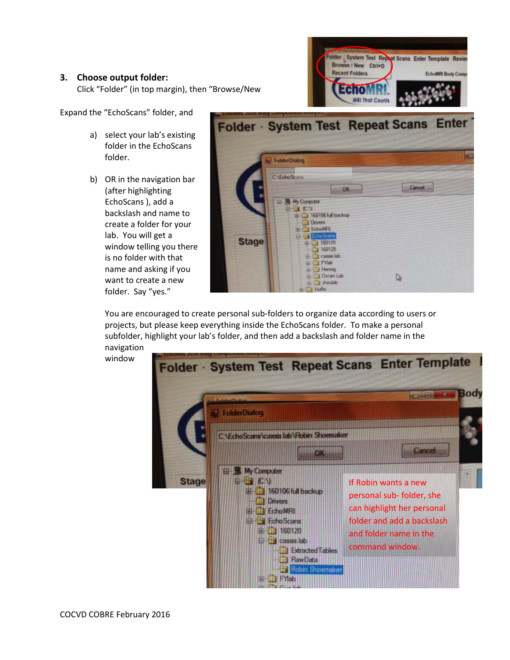#### **3. Choose output folder:**

Click "Folder" (in top margin), then "Browse/New



Expand the "EchoScans" folder, and

- a) select your lab's existing folder in the EchoScans folder.
- b) OR in the navigation bar (after highlighting EchoScans ), add a backslash and name to create a folder for your lab. You will get a window telling you there is no folder with that name and asking if you want to create a new folder. Say "yes."

|              | Folder · System Test Repeat Scans Enter                                                                           |        |
|--------------|-------------------------------------------------------------------------------------------------------------------|--------|
|              | FolderDialog                                                                                                      | Ξ      |
|              | <b>C:\EchoScans</b><br><b>OK</b>                                                                                  | Cancel |
|              | E- My Computer<br>$B - 3 C V$<br>HE 3 160106 full backup<br><b>Divers</b><br><b>EchoMFI</b>                       |        |
| <b>Stage</b> | <b>Hiller</b> EdisScans<br>图 160120<br>160128<br><b>ID-1</b> Cassis lab<br><b>ILLET Friab</b><br><b>El Hernig</b> |        |
|              | <b>B-1 Ozcan Lob</b><br><b>Salid Street Little</b><br>Hetfox                                                      | D      |

You are encouraged to create personal sub-folders to organize data according to users or projects, but please keep everything inside the EchoScans folder. To make a personal subfolder, highlight your lab's folder, and then add a backslash and folder name in the navigation

window

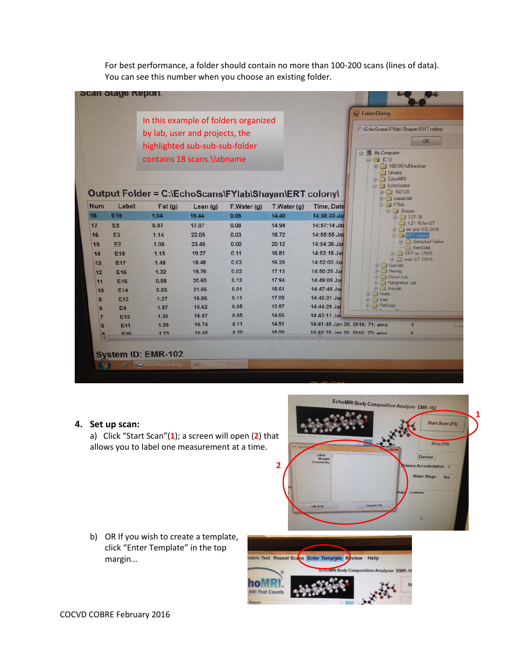For best performance, a folder should contain no more than 100-200 scans (lines of data). You can see this number when you choose an existing folder.

| In this example of folders organized<br>by lab, user and projects, the<br>highlighted sub-sub-sub-folder<br>contains 18 scans. \labname |                 |        |                           |                                                                     |              |                                | <b>EdderDialog</b><br>C:\EchoScans\FYlab\Shayan\ERT colony<br>OK<br>□ ■ My Computer<br>$\Box$ $(C)$<br><b>ED 160106 full backup</b><br><b>Drivers</b><br><b>EchoMRI</b><br><b>B</b> EchoScans |
|-----------------------------------------------------------------------------------------------------------------------------------------|-----------------|--------|---------------------------|---------------------------------------------------------------------|--------------|--------------------------------|-----------------------------------------------------------------------------------------------------------------------------------------------------------------------------------------------|
| <b>Num</b>                                                                                                                              | Label           | Fat(g) | Lean $(g)$                | Output Folder = C:\EchoScans\FYlab\Shayan\ERT colony\<br>F.Water(g) | T.Water(g)   | Time, Date                     | 图 160120<br><b>ED</b> cassis lab<br><b>D</b> T FYIab                                                                                                                                          |
| 18                                                                                                                                      | <b>E19</b>      | 1.04   | 16.44                     | 0.09                                                                | 14.40        | 14:58:33 Jan                   | Shayan<br>田门1-21-16                                                                                                                                                                           |
| 17                                                                                                                                      | E <sub>5</sub>  | 0.57   | 17.07                     | 0.08                                                                | 14.94        | 14:57:14 Jan                   | 1-21-16 for GT                                                                                                                                                                                |
| 16                                                                                                                                      | E <sub>3</sub>  | 1.14   | 22.05                     | 0.03                                                                | 18.72        | $14:55:55$ Jan                 | <b>ED</b> ert and 470 2416<br>Elwin V ERT colony                                                                                                                                              |
| 15                                                                                                                                      | E2              | 1.05   | 23.46                     | 0.00                                                                | 20.12        | 14:54:36 Jan                   | <b>Edracted Tables</b>                                                                                                                                                                        |
| 14                                                                                                                                      | <b>E18</b>      | 1.15   | 19.27                     | 0.11                                                                | 16.81        | 14:53:18 Jan                   | RawData<br><b>ERT</b> on 12916                                                                                                                                                                |
| 13                                                                                                                                      | <b>E17</b>      | 1.48   | 18.48                     | 0.03                                                                | 16.28        | 14:52:00 Jar                   | <b>ED</b> redo GT 12616                                                                                                                                                                       |
| 12                                                                                                                                      | <b>E16</b>      | 1.32   | 19.76                     | 0.02                                                                | 17.13        | 14:50:25 Jan                   | Guo lab<br><b>E</b> Hennig                                                                                                                                                                    |
| 11                                                                                                                                      | <b>E15</b>      | 0.88   | 20.60                     | 0.13                                                                | 17.94        | 14:49:05 Jan                   | Ozcan Lab<br><b>El Rangnekar Lab</b>                                                                                                                                                          |
| 10                                                                                                                                      | E <sub>14</sub> | 0.93   | 21.86                     | 0.01                                                                | 18,61        | 14:47:45 Jan                   | E di zhoutab                                                                                                                                                                                  |
| 9                                                                                                                                       | E <sub>13</sub> | 1.27   | 19.86                     | 0.11                                                                | 17.08        | 14:46:21 Jan                   | <b>ED</b> Hotfix<br><b>Fight</b> T Intel                                                                                                                                                      |
| 8                                                                                                                                       | <b>E4</b>       | 1.87   | 15.62                     | 0.05                                                                | 13.57        | 14:44:29 Jar                   | <b>PerfLogs</b>                                                                                                                                                                               |
|                                                                                                                                         | E <sub>12</sub> | 1,30   | 16.57                     | 0.05                                                                | 14.66        | 14:43:11 Jar                   |                                                                                                                                                                                               |
|                                                                                                                                         | E <sub>11</sub> | 1.39   | 16.74                     | 0.11                                                                | 14.91        | 14:41:48 Jan 20, 2016; 71; ems |                                                                                                                                                                                               |
|                                                                                                                                         | F40             | 173    | <b>16 68</b>              | 0.20                                                                | <b>15 00</b> | 14:40-25 Jan 20 2016: 70: eme  |                                                                                                                                                                                               |
|                                                                                                                                         |                 |        | <b>System ID: EMR-102</b> |                                                                     |              |                                |                                                                                                                                                                                               |

#### **4. Set up scan:**

a) Click "Start Scan"(**1**); a screen will open (**2**) that allows you to label one measurement at a time.



b) OR If you wish to create a template, click "Enter Template" in the top margin…

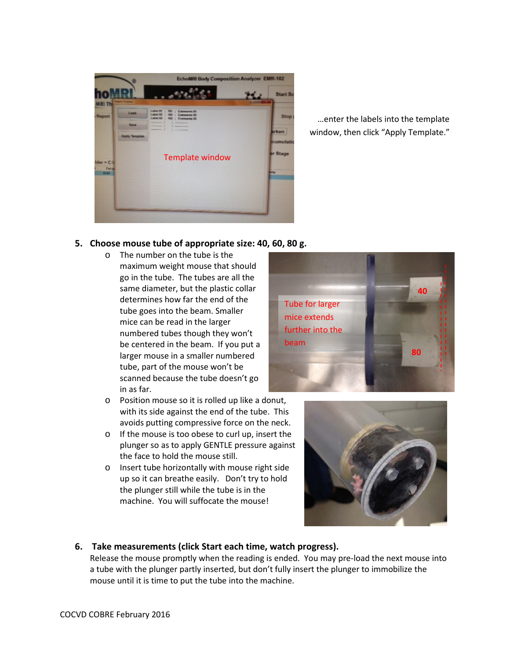

…enter the labels into the template window, then click "Apply Template."

#### **5. Choose mouse tube of appropriate size: 40, 60, 80 g.**

- o The number on the tube is the maximum weight mouse that should go in the tube. The tubes are all the same diameter, but the plastic collar determines how far the end of the tube goes into the beam. Smaller mice can be read in the larger numbered tubes though they won't be centered in the beam. If you put a larger mouse in a smaller numbered tube, part of the mouse won't be scanned because the tube doesn't go in as far.
- o Position mouse so it is rolled up like a donut, with its side against the end of the tube. This avoids putting compressive force on the neck.
- o If the mouse is too obese to curl up, insert the plunger so as to apply GENTLE pressure against the face to hold the mouse still.
- o Insert tube horizontally with mouse right side up so it can breathe easily. Don't try to hold the plunger still while the tube is in the machine. You will suffocate the mouse!





# **6. Take measurements (click Start each time, watch progress).**

Release the mouse promptly when the reading is ended. You may pre-load the next mouse into a tube with the plunger partly inserted, but don't fully insert the plunger to immobilize the mouse until it is time to put the tube into the machine.